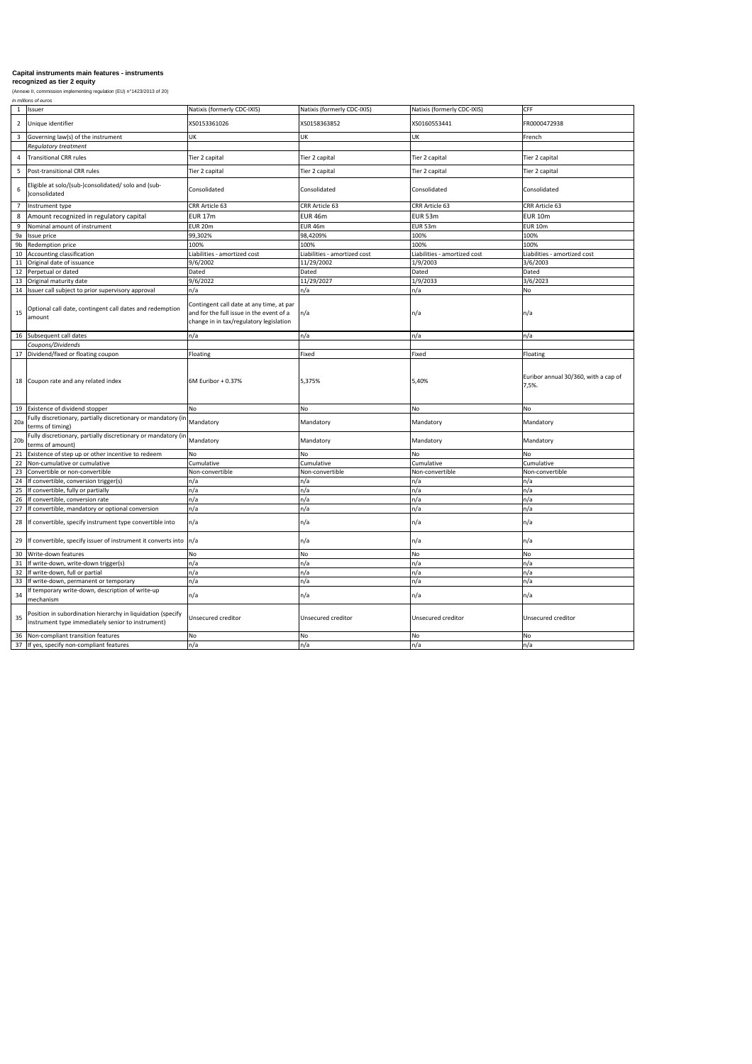*in millions of euros*

| 1               | Issuer                                                                                      | Natixis (formerly CDC-IXIS)                                                                                                     | Natixis (formerly CDC-IXIS)  | Natixis (formerly CDC-IXIS)  | <b>CFF</b>                                    |
|-----------------|---------------------------------------------------------------------------------------------|---------------------------------------------------------------------------------------------------------------------------------|------------------------------|------------------------------|-----------------------------------------------|
| $\overline{2}$  | Unique identifier                                                                           | XS0153361026                                                                                                                    | XS0158363852                 | XS0160553441                 | FR0000472938                                  |
| 3               | Governing law(s) of the instrument                                                          | UK                                                                                                                              | UK                           | UK                           | French                                        |
|                 | <b>Regulatory treatment</b>                                                                 |                                                                                                                                 |                              |                              |                                               |
| 4               | <b>Transitional CRR rules</b>                                                               | Tier 2 capital                                                                                                                  | Tier 2 capital               | Tier 2 capital               | Tier 2 capital                                |
| 5               | Post-transitional CRR rules                                                                 | Tier 2 capital                                                                                                                  | Tier 2 capital               | Tier 2 capital               | Tier 2 capital                                |
| 6               | Eligible at solo/(sub-)consolidated/ solo and (sub-<br>)consolidated                        | Consolidated                                                                                                                    | Consolidated                 | Consolidated                 | Consolidated                                  |
|                 | Instrument type                                                                             | <b>CRR Article 63</b>                                                                                                           | CRR Article 63               | CRR Article 63               | CRR Article 63                                |
| 8               | Amount recognized in regulatory capital                                                     | <b>EUR 17m</b>                                                                                                                  | <b>EUR 46m</b>               | <b>EUR 53m</b>               | <b>EUR 10m</b>                                |
|                 | Nominal amount of instrument                                                                | <b>EUR 20m</b>                                                                                                                  | <b>EUR 46m</b>               | EUR 53m                      | EUR 10m                                       |
| 9a              | Issue price                                                                                 | 99,302%                                                                                                                         | 98,4209%                     | 100%                         | 100%                                          |
| 9b              | <b>Redemption price</b>                                                                     | 100%                                                                                                                            | 100%                         | 100%                         | 100%                                          |
| 10              | Accounting classification                                                                   | Liabilities - amortized cost                                                                                                    | Liabilities - amortized cost | Liabilities - amortized cost | Liabilities - amortized cost                  |
| 11              | Original date of issuance                                                                   | 9/6/2002                                                                                                                        | 11/29/2002                   | 1/9/2003                     | 3/6/2003                                      |
| 12              | Perpetual or dated                                                                          | Dated                                                                                                                           | Dated                        | Dated                        | Dated                                         |
| 13              | Original maturity date                                                                      | 9/6/2022                                                                                                                        | 11/29/2027                   | 1/9/2033                     | 3/6/2023                                      |
| 14              | Issuer call subject to prior supervisory approval                                           | n/a                                                                                                                             | n/a                          | n/a                          | <b>No</b>                                     |
| 15              | Optional call date, contingent call dates and redemption<br>amount                          | Contingent call date at any time, at par<br>and for the full issue in the event of a<br>change in in tax/regulatory legislation | $\ln/a$                      | $\ln/a$                      | n/a                                           |
| 16              | Subsequent call dates                                                                       | n/a                                                                                                                             | n/a                          | n/a                          | n/a                                           |
|                 | Coupons/Dividends                                                                           |                                                                                                                                 |                              |                              |                                               |
| 17              | Dividend/fixed or floating coupon                                                           | Floating                                                                                                                        | Fixed                        | Fixed                        | Floating                                      |
|                 | 18 Coupon rate and any related index                                                        | $GM$ Euribor + 0.37%                                                                                                            | 5,375%                       | 5,40%                        | Euribor annual 30/360, with a cap of<br>7,5%. |
| 19              | Existence of dividend stopper                                                               | No                                                                                                                              | No                           | No                           | <b>No</b>                                     |
| 20a             | Fully discretionary, partially discretionary or mandatory (in Mandatory<br>terms of timing) |                                                                                                                                 | Mandatory                    | Mandatory                    | Mandatory                                     |
| 20 <sub>b</sub> | Fully discretionary, partially discretionary or mandatory (in Mandatory<br>terms of amount) |                                                                                                                                 | Mandatory                    | Mandatory                    | Mandatory                                     |
| 21              | Existence of step up or other incentive to redeem                                           | No                                                                                                                              | No                           | <b>No</b>                    | <b>No</b>                                     |
| 22              | Non-cumulative or cumulative                                                                | Cumulative                                                                                                                      | Cumulative                   | Cumulative                   | Cumulative                                    |
| 23              | Convertible or non-convertible                                                              | Non-convertible                                                                                                                 | Non-convertible              | Non-convertible              | Non-convertible                               |
| 24              | If convertible, conversion trigger(s)                                                       | n/a                                                                                                                             | n/a                          | n/a                          | n/a                                           |
| 25              | If convertible, fully or partially                                                          | n/a                                                                                                                             | n/a                          | n/a                          | n/a                                           |
| 26              | If convertible, conversion rate                                                             | n/a                                                                                                                             | n/a                          | n/a                          | n/a                                           |
| 27              | If convertible, mandatory or optional conversion                                            | n/a                                                                                                                             | n/a                          | n/a                          | n/a                                           |
|                 | 28 If convertible, specify instrument type convertible into                                 | $\mathsf{In}/\mathsf{a}$                                                                                                        | n/a                          | $\mathsf{In}/\mathsf{a}$     | n/a                                           |
|                 |                                                                                             |                                                                                                                                 |                              |                              |                                               |

|    | 29 If convertible, specify issuer of instrument it converts into $\vert n/a \vert$                               |                    | $\ln/a$            | ln/a               | n/a                |
|----|------------------------------------------------------------------------------------------------------------------|--------------------|--------------------|--------------------|--------------------|
| 30 | Write-down features                                                                                              | INo                | NΟ                 | No                 |                    |
| 31 | If write-down, write-down trigger(s)                                                                             | ∣n/a               | า/a                | n/a                | II/d               |
| 32 | If write-down, full or partial                                                                                   | ∣n/a               | າ/a                | ln/a               |                    |
|    | 33 If write-down, permanent or temporary                                                                         | n/a                | າ/a                | n/a                | n/a                |
| 34 | If temporary write-down, description of write-up<br>mechanism                                                    | ln/a               | n/a                | ln/a               | n/a                |
| 35 | Position in subordination hierarchy in liquidation (specify<br>instrument type immediately senior to instrument) | Unsecured creditor | Unsecured creditor | Unsecured creditor | Unsecured creditor |
|    | 36 Non-compliant transition features                                                                             | <b>No</b>          | No.                | No                 |                    |
| 37 | If yes, specify non-compliant features                                                                           | In/a               | n/a                | ln/a               | n/a                |

# **Capital instruments main features - instruments**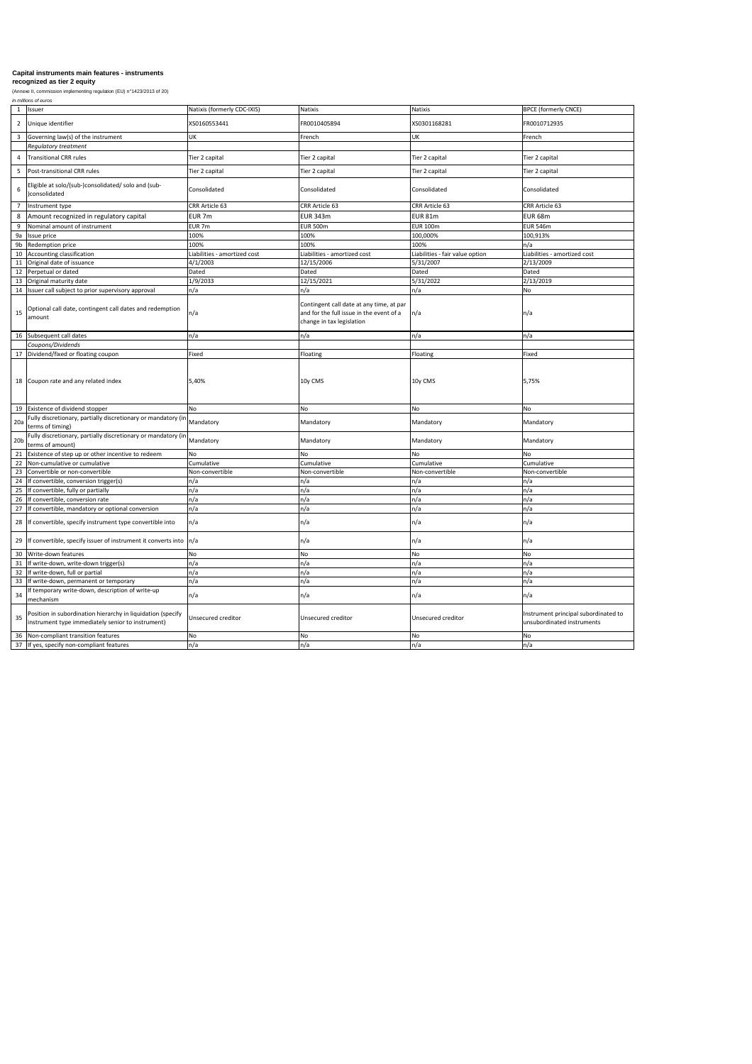*in millions of euros*

|                 | Issuer                                                                                                           | Natixis (formerly CDC-IXIS)  | Natixis                                                                                                           | <b>Natixis</b>                  | <b>BPCE (formerly CNCE)</b>                                        |
|-----------------|------------------------------------------------------------------------------------------------------------------|------------------------------|-------------------------------------------------------------------------------------------------------------------|---------------------------------|--------------------------------------------------------------------|
| $\overline{2}$  | Unique identifier                                                                                                | XS0160553441                 | FR0010405894                                                                                                      | XS0301168281                    | FR0010712935                                                       |
| 3               | Governing law(s) of the instrument                                                                               | <b>UK</b>                    | French                                                                                                            | <b>UK</b>                       | French                                                             |
|                 | <b>Regulatory treatment</b>                                                                                      |                              |                                                                                                                   |                                 |                                                                    |
| 4               | Transitional CRR rules                                                                                           | Tier 2 capital               | Tier 2 capital                                                                                                    | Tier 2 capital                  | Tier 2 capital                                                     |
| 5               | Post-transitional CRR rules                                                                                      | Tier 2 capital               | Tier 2 capital                                                                                                    | Tier 2 capital                  | Tier 2 capital                                                     |
| 6               | Eligible at solo/(sub-)consolidated/ solo and (sub-<br>)consolidated                                             | Consolidated                 | Consolidated                                                                                                      | Consolidated                    | Consolidated                                                       |
|                 | Instrument type                                                                                                  | CRR Article 63               | <b>CRR Article 63</b>                                                                                             | CRR Article 63                  | <b>CRR Article 63</b>                                              |
| 8               | Amount recognized in regulatory capital                                                                          | EUR <sub>7m</sub>            | <b>EUR 343m</b>                                                                                                   | EUR 81m                         | EUR 68m                                                            |
| 9               | Nominal amount of instrument                                                                                     | EUR <sub>7m</sub>            | <b>EUR 500m</b>                                                                                                   | <b>EUR 100m</b>                 | <b>EUR 546m</b>                                                    |
| 9a              | Issue price                                                                                                      | 100%                         | 100%                                                                                                              | 100,000%                        | 100,913%                                                           |
| 9b              | Redemption price                                                                                                 | 100%                         | 100%                                                                                                              | 100%                            | n/a                                                                |
| 10              | Accounting classification                                                                                        | Liabilities - amortized cost | Liabilities - amortized cost                                                                                      | Liabilities - fair value option | Liabilities - amortized cost                                       |
|                 | Original date of issuance                                                                                        | 4/1/2003                     | 12/15/2006                                                                                                        | 5/31/2007                       | 2/13/2009                                                          |
| 12              | Perpetual or dated                                                                                               | Dated                        | Dated                                                                                                             | Dated                           | Dated                                                              |
| 13              | Original maturity date                                                                                           | 1/9/2033                     | 12/15/2021                                                                                                        | 5/31/2022                       | 2/13/2019                                                          |
| 14              | Issuer call subject to prior supervisory approval                                                                | n/a                          | n/a                                                                                                               | n/a                             | No                                                                 |
| 15              | Optional call date, contingent call dates and redemption<br>amount                                               | n/a                          | Contingent call date at any time, at par<br>and for the full issue in the event of a<br>change in tax legislation | n/a                             | n/a                                                                |
|                 | 16 Subsequent call dates                                                                                         | n/a                          | n/a                                                                                                               | n/a                             | n/a                                                                |
|                 | Coupons/Dividends                                                                                                |                              |                                                                                                                   |                                 |                                                                    |
|                 | Dividend/fixed or floating coupon                                                                                | Fixed                        | Floating                                                                                                          | Floating                        | Fixed                                                              |
| 18              | Coupon rate and any related index                                                                                | 5,40%                        | 10y CMS                                                                                                           | 10y CMS                         | 5,75%                                                              |
| 19              | Existence of dividend stopper                                                                                    | <b>No</b>                    | No                                                                                                                | <b>No</b>                       | No                                                                 |
| 20a             | Fully discretionary, partially discretionary or mandatory (in<br>terms of timing)                                | Mandatory                    | Mandatory                                                                                                         | Mandatory                       | Mandatory                                                          |
| 20 <sub>b</sub> | Fully discretionary, partially discretionary or mandatory (in<br>terms of amount)                                | Mandatory                    | Mandatory                                                                                                         | Mandatory                       | Mandatory                                                          |
|                 | Existence of step up or other incentive to redeem                                                                | <b>No</b>                    | No.                                                                                                               | <b>No</b>                       | No                                                                 |
| 22              | Non-cumulative or cumulative                                                                                     | Cumulative                   | Cumulative                                                                                                        | Cumulative                      | Cumulative                                                         |
| 23              | Convertible or non-convertible                                                                                   | Non-convertible              | Non-convertible                                                                                                   | Non-convertible                 | Non-convertible                                                    |
| 24              | If convertible, conversion trigger(s)                                                                            | n/a                          | n/a                                                                                                               | n/a                             | n/a                                                                |
| 25              | If convertible, fully or partially                                                                               | n/a                          | n/a                                                                                                               | n/a                             | n/a                                                                |
| 26              | If convertible, conversion rate                                                                                  | n/a                          | n/a                                                                                                               | n/a                             | n/a                                                                |
| 27              | If convertible, mandatory or optional conversion                                                                 | n/a                          | n/a                                                                                                               | n/a                             | n/a                                                                |
| 28              | If convertible, specify instrument type convertible into                                                         | n/a                          | In/a                                                                                                              | n/a                             | n/a                                                                |
| 29              | If convertible, specify issuer of instrument it converts into $\vert n/a \vert$                                  |                              | In/a                                                                                                              | n/a                             | n/a                                                                |
| 30              | Write-down features                                                                                              | No                           | No                                                                                                                | <b>No</b>                       | No                                                                 |
| 31              | If write-down, write-down trigger(s)                                                                             | n/a                          | n/a                                                                                                               | n/a                             | n/a                                                                |
| 32              | If write-down, full or partial                                                                                   | n/a                          | n/a                                                                                                               | n/a                             | n/a                                                                |
| 33              | If write-down, permanent or temporary                                                                            | n/a                          | n/a                                                                                                               | n/a                             | n/a                                                                |
| 34              | f temporary write-down, description of write-up<br>mechanism                                                     | n/a                          | $\ln/a$                                                                                                           | n/a                             | n/a                                                                |
| 35              | Position in subordination hierarchy in liquidation (specify<br>instrument type immediately senior to instrument) | Unsecured creditor           | Unsecured creditor                                                                                                | <b>Unsecured creditor</b>       | Instrument principal subordinated to<br>unsubordinated instruments |
| 36              | Non-compliant transition features                                                                                | No                           | No                                                                                                                | <b>No</b>                       | <b>No</b>                                                          |
| 37              | If yes, specify non-compliant features                                                                           | n/a                          | n/a                                                                                                               | n/a                             | n/a                                                                |

# **Capital instruments main features - instruments**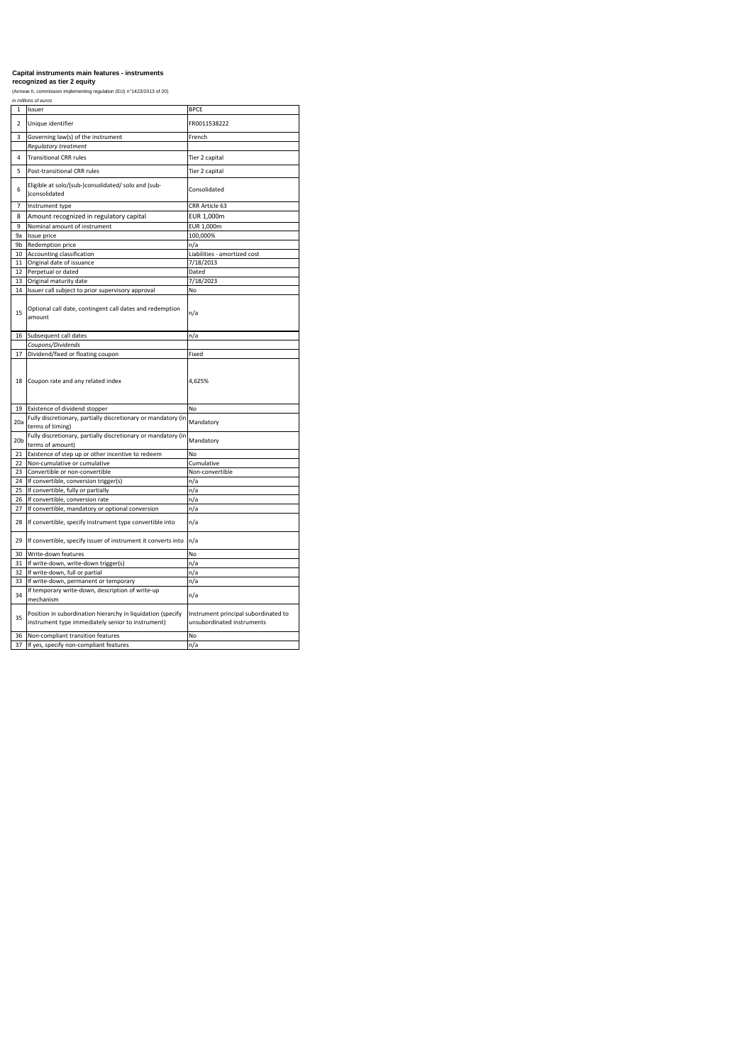*in millions of euros* 

|                 | <i>in millions of euros</i>                                                                                      |                                                                    |
|-----------------|------------------------------------------------------------------------------------------------------------------|--------------------------------------------------------------------|
| $\mathbf{1}$    | Issuer                                                                                                           | <b>BPCE</b>                                                        |
| $\overline{2}$  | Unique identifier                                                                                                | FR0011538222                                                       |
| 3               | Governing law(s) of the instrument                                                                               | French                                                             |
|                 | Regulatory treatment                                                                                             |                                                                    |
| 4               | <b>Transitional CRR rules</b>                                                                                    | Tier 2 capital                                                     |
| 5               | <b>Post-transitional CRR rules</b>                                                                               | Tier 2 capital                                                     |
| 6               | Eligible at solo/(sub-)consolidated/ solo and (sub-<br>)consolidated                                             | Consolidated                                                       |
| $\overline{7}$  | Instrument type                                                                                                  | CRR Article 63                                                     |
| 8               | Amount recognized in regulatory capital                                                                          | EUR 1,000m                                                         |
| 9               | Nominal amount of instrument                                                                                     | EUR 1,000m                                                         |
| 9a              | Issue price                                                                                                      | 100,000%                                                           |
| 9b              | Redemption price                                                                                                 | n/a                                                                |
| 10              | Accounting classification                                                                                        | Liabilities - amortized cost                                       |
| 11              | Original date of issuance                                                                                        | 7/18/2013                                                          |
| 12              | Perpetual or dated                                                                                               | Dated                                                              |
| 13              | Original maturity date                                                                                           | 7/18/2023                                                          |
| 14              | Issuer call subject to prior supervisory approval                                                                | No                                                                 |
| 15              | Optional call date, contingent call dates and redemption<br>amount                                               | n/a                                                                |
| 16              | Subsequent call dates                                                                                            | n/a                                                                |
|                 | Coupons/Dividends                                                                                                |                                                                    |
| 17              | Dividend/fixed or floating coupon                                                                                | Fixed                                                              |
| 18              | Coupon rate and any related index                                                                                | 4,625%                                                             |
| 19              | Existence of dividend stopper                                                                                    | No                                                                 |
| 20a             | Fully discretionary, partially discretionary or mandatory (in<br>terms of timing)                                | Mandatory                                                          |
| 20 <sub>b</sub> | Fully discretionary, partially discretionary or mandatory (in<br>terms of amount)                                | Mandatory                                                          |
| 21              | Existence of step up or other incentive to redeem                                                                | No                                                                 |
| 22              | Non-cumulative or cumulative                                                                                     | Cumulative                                                         |
| 23              | Convertible or non-convertible                                                                                   | Non-convertible                                                    |
| 24              | If convertible, conversion trigger(s)                                                                            | n/a                                                                |
| 25              | If convertible, fully or partially                                                                               | n/a                                                                |
| 26              | If convertible, conversion rate                                                                                  | n/a                                                                |
| 27              | If convertible, mandatory or optional conversion                                                                 | n/a                                                                |
| 28              | If convertible, specify instrument type convertible into                                                         | n/a                                                                |
| 29              | If convertible, specify issuer of instrument it converts into                                                    | n/a                                                                |
| 30              | Write-down features                                                                                              | <b>No</b>                                                          |
| 31              | If write-down, write-down trigger(s)                                                                             | n/a                                                                |
| 32              | If write-down, full or partial                                                                                   | n/a                                                                |
| 33              | If write-down, permanent or temporary                                                                            | n/a                                                                |
| 34              | If temporary write-down, description of write-up<br>mechanism                                                    | n/a                                                                |
| 35              | Position in subordination hierarchy in liquidation (specify<br>instrument type immediately senior to instrument) | Instrument principal subordinated to<br>unsubordinated instruments |
| 36              | Non-compliant transition features                                                                                | No                                                                 |
|                 | 37 If yes, specify non-compliant features                                                                        | n/a                                                                |

### **Capital instruments main features - instruments recognized as tier 2 equity**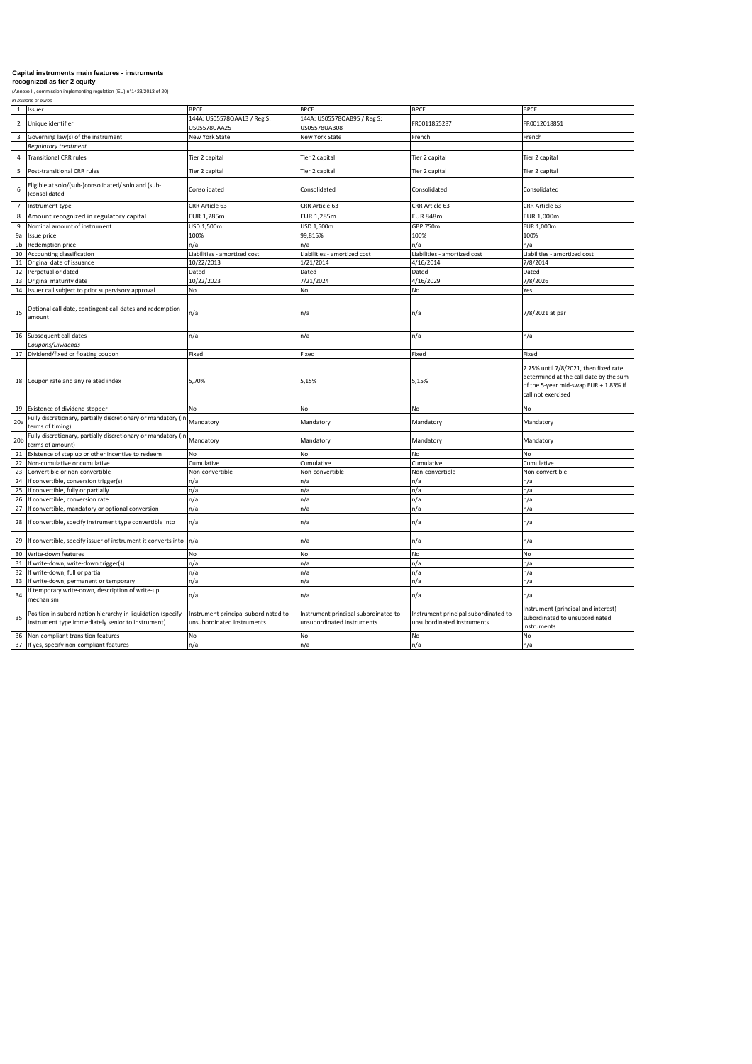*in millions of euros*

| $\mathbf{1}$    | Issuer                                                                                      | <b>BPCE</b>                                 | <b>BPCE</b>                                 | <b>BPCE</b>                  | <b>BPCE</b>                                                                                                                                    |
|-----------------|---------------------------------------------------------------------------------------------|---------------------------------------------|---------------------------------------------|------------------------------|------------------------------------------------------------------------------------------------------------------------------------------------|
| $\overline{2}$  | Unique identifier                                                                           | 144A: US05578QAA13 / Reg S:<br>US05578UAA25 | 144A: US05578QAB95 / Reg S:<br>US05578UAB08 | FR0011855287                 | FR0012018851                                                                                                                                   |
| 3               | Governing law(s) of the instrument                                                          | New York State                              | New York State                              | French                       | French                                                                                                                                         |
|                 | <b>Regulatory treatment</b>                                                                 |                                             |                                             |                              |                                                                                                                                                |
| 4               | Transitional CRR rules                                                                      | Tier 2 capital                              | Tier 2 capital                              | Tier 2 capital               | Tier 2 capital                                                                                                                                 |
| 5               | Post-transitional CRR rules                                                                 | Tier 2 capital                              | Tier 2 capital                              | Tier 2 capital               | Tier 2 capital                                                                                                                                 |
| 6               | Eligible at solo/(sub-)consolidated/ solo and (sub-<br>)consolidated                        | Consolidated                                | Consolidated                                | Consolidated                 | Consolidated                                                                                                                                   |
|                 | Instrument type                                                                             | CRR Article 63                              | <b>CRR Article 63</b>                       | CRR Article 63               | CRR Article 63                                                                                                                                 |
| 8               | Amount recognized in regulatory capital                                                     | EUR 1,285m                                  | EUR 1,285m                                  | <b>EUR 848m</b>              | EUR 1,000m                                                                                                                                     |
|                 | Nominal amount of instrument                                                                | USD 1,500m                                  | USD 1,500m                                  | GBP 750m                     | <b>EUR 1,000m</b>                                                                                                                              |
|                 | 9a Issue price                                                                              | 100%                                        | 99,815%                                     | 100%                         | 100%                                                                                                                                           |
| 9b              | Redemption price                                                                            | n/a                                         | n/a                                         | n/a                          | n/a                                                                                                                                            |
| 10              | Accounting classification                                                                   | Liabilities - amortized cost                | Liabilities - amortized cost                | Liabilities - amortized cost | Liabilities - amortized cost                                                                                                                   |
| 11              | Original date of issuance                                                                   | 10/22/2013                                  | 1/21/2014                                   | 4/16/2014                    | 7/8/2014                                                                                                                                       |
|                 | 12 Perpetual or dated                                                                       | Dated                                       | Dated                                       | Dated                        | Dated                                                                                                                                          |
|                 | 13 Original maturity date                                                                   | 10/22/2023                                  | 7/21/2024                                   | 4/16/2029                    | 7/8/2026                                                                                                                                       |
|                 | 14 Issuer call subject to prior supervisory approval                                        | No                                          | No                                          | <b>No</b>                    | Yes                                                                                                                                            |
| 15              | Optional call date, contingent call dates and redemption<br>amount                          | $\ln/a$                                     | $\ln/a$                                     | $\vert n/a \vert$            | 7/8/2021 at par                                                                                                                                |
|                 | 16 Subsequent call dates                                                                    | $\ln/a$                                     | n/a                                         | n/a                          | n/a                                                                                                                                            |
|                 | Coupons/Dividends                                                                           |                                             |                                             |                              |                                                                                                                                                |
|                 | 17 Dividend/fixed or floating coupon                                                        | Fixed                                       | Fixed                                       | Fixed                        | Fixed                                                                                                                                          |
|                 | 18 Coupon rate and any related index                                                        | 5,70%                                       | 5,15%                                       | 5,15%                        | 2.75% until 7/8/2021, then fixed rate<br>determined at the call date by the sum<br>of the 5-year mid-swap EUR + 1.83% if<br>call not exercised |
| 19              | Existence of dividend stopper                                                               | No                                          | No                                          | No                           | <b>No</b>                                                                                                                                      |
| 20a             | Fully discretionary, partially discretionary or mandatory (in Mandatory<br>terms of timing) |                                             | Mandatory                                   | Mandatory                    | Mandatory                                                                                                                                      |
| 20 <sub>b</sub> | Fully discretionary, partially discretionary or mandatory (in Mandatory<br>terms of amount) |                                             | Mandatory                                   | Mandatory                    | Mandatory                                                                                                                                      |
| 21              | Existence of step up or other incentive to redeem                                           | No.                                         | <b>No</b>                                   | <b>No</b>                    | <b>No</b>                                                                                                                                      |
|                 | 22 Non-cumulative or cumulative                                                             | Cumulative                                  | Cumulative                                  | Cumulative                   | Cumulative                                                                                                                                     |
| 23              | Convertible or non-convertible                                                              | Non-convertible                             | Non-convertible                             | Non-convertible              | Non-convertible                                                                                                                                |
| 24              | If convertible, conversion trigger(s)                                                       | n/a                                         | n/a                                         | n/a                          | n/a                                                                                                                                            |
|                 | 25 If convertible, fully or partially                                                       | n/a                                         | n/a                                         | n/a                          | n/a                                                                                                                                            |
|                 | 26   If convertible, conversion rate                                                        | n/a                                         | n/a                                         | n/a                          | n/a                                                                                                                                            |
|                 | 27 If convertible, mandatory or optional conversion                                         | n/a                                         | n/a                                         | n/a                          | n/a                                                                                                                                            |
|                 | 28 If convertible, specify instrument type convertible into                                 | n/a                                         | n/a                                         | $\mathsf{In}/\mathsf{a}$     | n/a                                                                                                                                            |
|                 | 29 If convertible, specify issuer of instrument it converts into $\vert n/a \vert$          |                                             | n/a                                         | n/a                          | n/a                                                                                                                                            |

## **Capital instruments main features - instruments**

|    | 29 The convertible, specify issuer of instrument it converts into Tha                                             |                                                                    | In/a                                                               | ln/a                                                               | n/a                                                                                   |
|----|-------------------------------------------------------------------------------------------------------------------|--------------------------------------------------------------------|--------------------------------------------------------------------|--------------------------------------------------------------------|---------------------------------------------------------------------------------------|
|    | 30 Write-down features                                                                                            |                                                                    | INO.                                                               |                                                                    | No.                                                                                   |
| 31 | If write-down, write-down trigger(s)                                                                              | .17a                                                               |                                                                    |                                                                    | In/a                                                                                  |
|    | 32 If write-down, full or partial                                                                                 | 17 d                                                               |                                                                    |                                                                    | n/a                                                                                   |
|    | 33 If write-down, permanent or temporary                                                                          | 1/ a                                                               |                                                                    |                                                                    | In/a                                                                                  |
| 34 | If temporary write-down, description of write-up<br>Imechanism                                                    | n/a                                                                | In/a                                                               |                                                                    | $\lfloor n/a$                                                                         |
| 35 | Position in subordination hierarchy in liquidation (specify<br>(instrument type immediately senior to instrument) | Instrument principal subordinated to<br>unsubordinated instruments | Instrument principal subordinated to<br>unsubordinated instruments | Instrument principal subordinated to<br>unsubordinated instruments | Instrument (principal and interest)<br>subordinated to unsubordinated<br>linstruments |
|    | 36 Non-compliant transition features                                                                              | No                                                                 | INO.                                                               |                                                                    | INo.                                                                                  |
|    | 37 If yes, specify non-compliant features                                                                         | n/a                                                                | ln/a                                                               |                                                                    | n/a                                                                                   |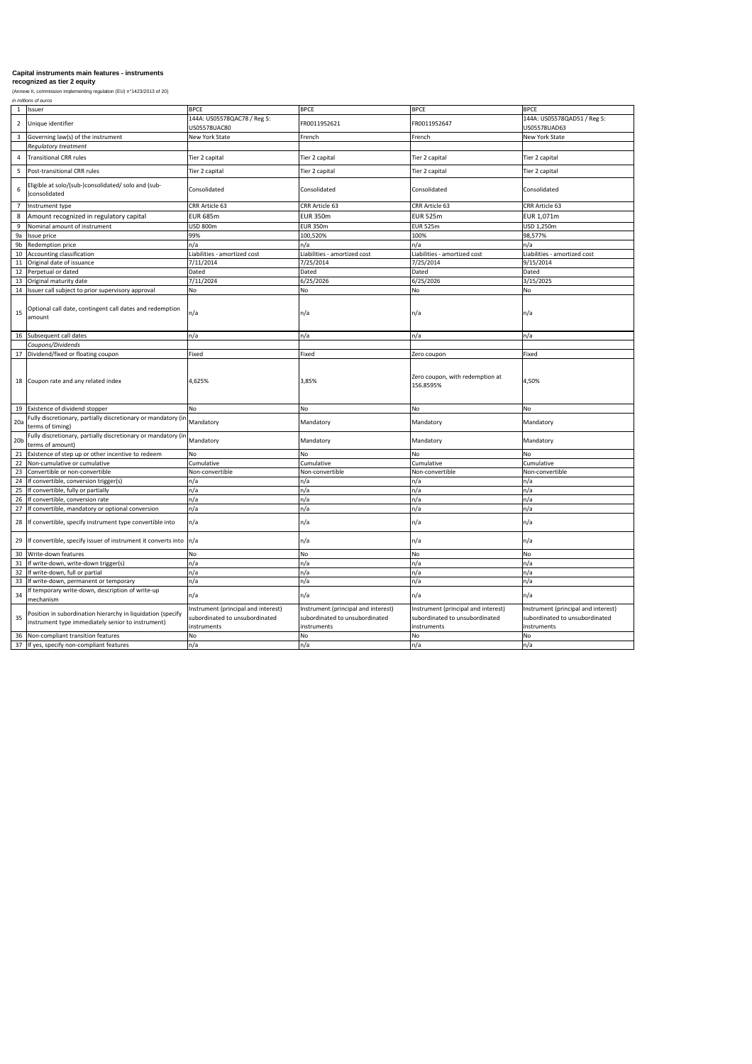*in millions of euros*

| 1               | Issuer                                                                                      | <b>BPCE</b>                                 | <b>BPCE</b>                  | <b>BPCE</b>                                  | <b>BPCE</b>                                 |
|-----------------|---------------------------------------------------------------------------------------------|---------------------------------------------|------------------------------|----------------------------------------------|---------------------------------------------|
| $\overline{2}$  | Unique identifier                                                                           | 144A: US05578QAC78 / Reg S:<br>US05578UAC80 | FR0011952621                 | FR0011952647                                 | 144A: US05578QAD51 / Reg S:<br>US05578UAD63 |
| 3               | Governing law(s) of the instrument                                                          | New York State                              | French                       | French                                       | New York State                              |
|                 | <b>Regulatory treatment</b>                                                                 |                                             |                              |                                              |                                             |
|                 | Transitional CRR rules                                                                      | Tier 2 capital                              | Tier 2 capital               | Tier 2 capital                               | Tier 2 capital                              |
| 5               | Post-transitional CRR rules                                                                 | Tier 2 capital                              | Tier 2 capital               | Tier 2 capital                               | Tier 2 capital                              |
| 6               | Eligible at solo/(sub-)consolidated/ solo and (sub-<br>)consolidated                        | Consolidated                                | Consolidated                 | Consolidated                                 | Consolidated                                |
|                 | Instrument type                                                                             | CRR Article 63                              | CRR Article 63               | CRR Article 63                               | CRR Article 63                              |
| 8               | Amount recognized in regulatory capital                                                     | <b>EUR 685m</b>                             | <b>EUR 350m</b>              | <b>EUR 525m</b>                              | EUR 1,071m                                  |
| 9               | Nominal amount of instrument                                                                | <b>USD 800m</b>                             | <b>EUR 350m</b>              | EUR 525m                                     | USD 1,250m                                  |
|                 | 9a Issue price                                                                              | 99%                                         | 100,520%                     | 100%                                         | 98,577%                                     |
| 9b              | Redemption price                                                                            | n/a                                         | n/a                          | n/a                                          | n/a                                         |
|                 | 10 Accounting classification                                                                | Liabilities - amortized cost                | Liabilities - amortized cost | Liabilities - amortized cost                 | Liabilities - amortized cost                |
| 11              | Original date of issuance                                                                   | 7/11/2014                                   | 7/25/2014                    | 7/25/2014                                    | 9/15/2014                                   |
|                 | 12 Perpetual or dated                                                                       | Dated                                       | Dated                        | Dated                                        | Dated                                       |
|                 | 13 Original maturity date                                                                   | 7/11/2024                                   | 6/25/2026                    | 6/25/2026                                    | 3/15/2025                                   |
|                 | 14 Issuer call subject to prior supervisory approval                                        | <b>No</b>                                   | No                           | No                                           | No                                          |
| 15              | Optional call date, contingent call dates and redemption<br>amount                          | $\ln/a$                                     | n/a                          | $\vert n/a \vert$                            | n/a                                         |
|                 | 16 Subsequent call dates                                                                    | n/a                                         | n/a                          | n/a                                          | n/a                                         |
|                 | Coupons/Dividends                                                                           |                                             |                              |                                              |                                             |
|                 | 17   Dividend/fixed or floating coupon                                                      | Fixed                                       | Fixed                        | Zero coupon                                  | Fixed                                       |
|                 | 18 Coupon rate and any related index                                                        | 4,625%                                      | 3,85%                        | Zero coupon, with redemption at<br>156.8595% | 4,50%                                       |
|                 | 19 Existence of dividend stopper                                                            | No                                          | No                           | No                                           | No                                          |
| 20a             | Fully discretionary, partially discretionary or mandatory (in Mandatory<br>terms of timing) |                                             | Mandatory                    | Mandatory                                    | Mandatory                                   |
| 20 <sub>b</sub> | Fully discretionary, partially discretionary or mandatory (in Mandatory<br>terms of amount) |                                             | Mandatory                    | Mandatory                                    | Mandatory                                   |
| 21              | Existence of step up or other incentive to redeem                                           | <b>No</b>                                   | No                           | No                                           | No                                          |
| 22              | Non-cumulative or cumulative                                                                | Cumulative                                  | Cumulative                   | Cumulative                                   | Cumulative                                  |
| 23              | Convertible or non-convertible                                                              | Non-convertible                             | Non-convertible              | Non-convertible                              | Non-convertible                             |
| 24              | If convertible, conversion trigger(s)                                                       | n/a                                         | n/a                          | n/a                                          | n/a                                         |
|                 | 25 If convertible, fully or partially                                                       | n/a                                         | n/a                          | n/a                                          | n/a                                         |
| 26              | If convertible, conversion rate                                                             | n/a                                         | n/a                          | n/a                                          | n/a                                         |
|                 | 27 If convertible, mandatory or optional conversion                                         | n/a                                         | n/a                          | n/a                                          | n/a                                         |
|                 | 28 If convertible, specify instrument type convertible into                                 | n/a                                         | n/a                          | $\ln/a$                                      | n/a                                         |
|                 | 29 If convertible, specify issuer of instrument it converts into $\vert n/a \vert$          |                                             | n/a                          | n/a                                          | n/a                                         |

# **Capital instruments main features - instruments**

|    | 29 TH convertible, specify issuer of instrument it converts into Thra                         |                                     |                                     | Tuva                                | n/a                                 |
|----|-----------------------------------------------------------------------------------------------|-------------------------------------|-------------------------------------|-------------------------------------|-------------------------------------|
|    | 30 Write-down features                                                                        | N٥                                  |                                     | No                                  |                                     |
|    | 31 If write-down, write-down trigger(s)                                                       |                                     |                                     | ∣n/a                                |                                     |
|    | 32 If write-down, full or partial                                                             |                                     |                                     | In/a                                |                                     |
|    | 33 If write-down, permanent or temporary                                                      |                                     |                                     | In/a                                |                                     |
|    | $\begin{array}{c c} \hline \end{array}$ 34   If temporary write-down, description of write-up |                                     |                                     |                                     |                                     |
|    | mechanism                                                                                     | n/a                                 |                                     | ln/a                                | n/a                                 |
|    | Position in subordination hierarchy in liquidation (specify                                   | Instrument (principal and interest) | Instrument (principal and interest) | Instrument (principal and interest) | Instrument (principal and interest) |
| 35 | instrument type immediately senior to instrument)                                             | subordinated to unsubordinated      | subordinated to unsubordinated      | subordinated to unsubordinated      | subordinated to unsubordinated      |
|    |                                                                                               | instruments                         | instruments                         | <i>linstruments</i>                 | instruments                         |
|    | 36 Non-compliant transition features                                                          | No.                                 |                                     | No.                                 |                                     |
|    | 37 If yes, specify non-compliant features                                                     |                                     |                                     | $\lfloor n/a \rfloor$               |                                     |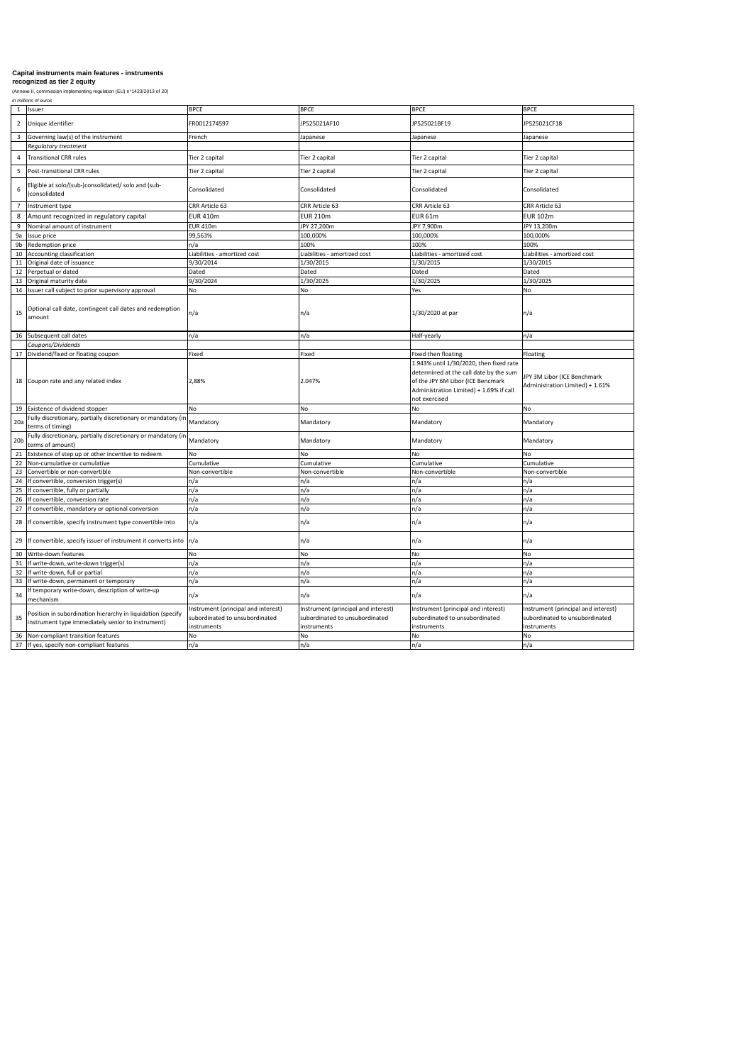*in millions of euros*

# **Capital instruments main features - instruments**

| $\mathbf{1}$    | Issuer                                                                                                           | <b>BPCE</b>                                                                                 | <b>BPCE</b>                                                                          | <b>BPCE</b>                                                                                                                                                                        | <b>BPCE</b>                                                                          |
|-----------------|------------------------------------------------------------------------------------------------------------------|---------------------------------------------------------------------------------------------|--------------------------------------------------------------------------------------|------------------------------------------------------------------------------------------------------------------------------------------------------------------------------------|--------------------------------------------------------------------------------------|
| $\overline{2}$  | Unique identifier                                                                                                | FR0012174597                                                                                | JP525021AF10                                                                         | JP525021BF19                                                                                                                                                                       | JP525021CF18                                                                         |
| 3               | Governing law(s) of the instrument                                                                               | French                                                                                      | Japanese                                                                             | Japanese                                                                                                                                                                           | Japanese                                                                             |
|                 | <b>Regulatory treatment</b>                                                                                      |                                                                                             |                                                                                      |                                                                                                                                                                                    |                                                                                      |
| 4               | <b>Transitional CRR rules</b>                                                                                    | Tier 2 capital                                                                              | Tier 2 capital                                                                       | Tier 2 capital                                                                                                                                                                     | Tier 2 capital                                                                       |
| 5               | Post-transitional CRR rules                                                                                      | Tier 2 capital                                                                              | Tier 2 capital                                                                       | Tier 2 capital                                                                                                                                                                     | Tier 2 capital                                                                       |
| 6               | Eligible at solo/(sub-)consolidated/ solo and (sub-<br>consolidated                                              | Consolidated                                                                                | Consolidated                                                                         | Consolidated                                                                                                                                                                       | Consolidated                                                                         |
|                 | Instrument type                                                                                                  | CRR Article 63                                                                              | CRR Article 63                                                                       | CRR Article 63                                                                                                                                                                     | <b>CRR Article 63</b>                                                                |
| 8               | Amount recognized in regulatory capital                                                                          | <b>EUR 410m</b>                                                                             | <b>EUR 210m</b>                                                                      | EUR <sub>61m</sub>                                                                                                                                                                 | <b>EUR 102m</b>                                                                      |
| 9               | Nominal amount of instrument                                                                                     | <b>EUR 410m</b>                                                                             | JPY 27,200m                                                                          | JPY 7,900m                                                                                                                                                                         | JPY 13,200m                                                                          |
| 9a              | Issue price                                                                                                      | 99,563%                                                                                     | 100,000%                                                                             | 100,000%                                                                                                                                                                           | 100,000%                                                                             |
| 9b              | Redemption price                                                                                                 | n/a                                                                                         | 100%                                                                                 | 100%                                                                                                                                                                               | 100%                                                                                 |
|                 | Accounting classification                                                                                        | Liabilities - amortized cost                                                                | Liabilities - amortized cost                                                         | iabilities - amortized cost                                                                                                                                                        | Liabilities - amortized cost                                                         |
| 11              | Original date of issuance                                                                                        | 9/30/2014                                                                                   | 1/30/2015                                                                            | 1/30/2015                                                                                                                                                                          | 1/30/2015                                                                            |
|                 | Perpetual or dated                                                                                               | Dated                                                                                       | Dated                                                                                | Dated                                                                                                                                                                              | Dated                                                                                |
| 13              | Original maturity date                                                                                           | 9/30/2024                                                                                   | 1/30/2025                                                                            | 1/30/2025                                                                                                                                                                          | 1/30/2025                                                                            |
| 14              | Issuer call subject to prior supervisory approval                                                                | No                                                                                          | No                                                                                   | Yes                                                                                                                                                                                | <b>No</b>                                                                            |
| 15              | Optional call date, contingent call dates and redemption<br>amount                                               | $\ln/a$                                                                                     | n/a                                                                                  | 1/30/2020 at par                                                                                                                                                                   | $\ln/a$                                                                              |
| 16              | Subsequent call dates                                                                                            | n/a                                                                                         | n/a                                                                                  | Half-yearly                                                                                                                                                                        | n/a                                                                                  |
|                 | Coupons/Dividends                                                                                                |                                                                                             |                                                                                      |                                                                                                                                                                                    |                                                                                      |
| 17              | Dividend/fixed or floating coupon                                                                                | Fixed                                                                                       | Fixed                                                                                | Fixed then floating                                                                                                                                                                | Floating                                                                             |
| 18              | Coupon rate and any related index                                                                                | 2,88%                                                                                       | 2.047%                                                                               | 1.943% until 1/30/2020, then fixed rate<br>determined at the call date by the sum<br>of the JPY 6M Libor (ICE Bencmark<br>Administration Limited) + 1.69% if call<br>not exercised | JPY 3M Libor (ICE Benchmark<br>Administration Limited) + 1.61%                       |
| 19              | Existence of dividend stopper                                                                                    | <b>No</b>                                                                                   | No                                                                                   | <b>No</b>                                                                                                                                                                          | No                                                                                   |
| 20a             | Fully discretionary, partially discretionary or mandatory (in Mandatory<br>terms of timing)                      |                                                                                             | Mandatory                                                                            | Mandatory                                                                                                                                                                          | Mandatory                                                                            |
| 20 <sub>b</sub> | Fully discretionary, partially discretionary or mandatory (in Mandatory<br>terms of amount)                      |                                                                                             | Mandatory                                                                            | Mandatory                                                                                                                                                                          | Mandatory                                                                            |
| 21              | Existence of step up or other incentive to redeem                                                                | No                                                                                          | No                                                                                   | <b>No</b>                                                                                                                                                                          | <b>No</b>                                                                            |
| 22              | Non-cumulative or cumulative                                                                                     | Cumulative                                                                                  | Cumulative                                                                           | Cumulative                                                                                                                                                                         | Cumulative                                                                           |
| 23              | Convertible or non-convertible                                                                                   | Non-convertible                                                                             | Non-convertible                                                                      | Non-convertible                                                                                                                                                                    | Non-convertible                                                                      |
| 24              | If convertible, conversion trigger(s)                                                                            | n/a                                                                                         | n/a                                                                                  | n/a                                                                                                                                                                                | n/a                                                                                  |
| 25              | If convertible, fully or partially                                                                               | n/a                                                                                         | n/a                                                                                  | n/a                                                                                                                                                                                | n/a                                                                                  |
| 26              | If convertible, conversion rate                                                                                  | n/a                                                                                         | n/a                                                                                  | n/a                                                                                                                                                                                | n/a                                                                                  |
| 27              | If convertible, mandatory or optional conversion                                                                 | n/a                                                                                         | n/a                                                                                  | n/a                                                                                                                                                                                | n/a                                                                                  |
| 28              | If convertible, specify instrument type convertible into                                                         | n/a                                                                                         | n/a                                                                                  | n/a                                                                                                                                                                                | $\ln/a$                                                                              |
| 29              | If convertible, specify issuer of instrument it converts into $\vert n/a \vert$                                  |                                                                                             | n/a                                                                                  | n/a                                                                                                                                                                                | n/a                                                                                  |
| 30 <sup>°</sup> | Write-down features                                                                                              | <b>No</b>                                                                                   | No                                                                                   | <b>No</b>                                                                                                                                                                          | <b>No</b>                                                                            |
| 31              | If write-down, write-down trigger(s)                                                                             | n/a                                                                                         | n/a                                                                                  | n/a                                                                                                                                                                                | n/a                                                                                  |
| 32              | If write-down, full or partial                                                                                   | n/a                                                                                         | n/a                                                                                  | n/a                                                                                                                                                                                | n/a                                                                                  |
| 33              | If write-down, permanent or temporary                                                                            | n/a                                                                                         | n/a                                                                                  | n/a                                                                                                                                                                                | n/a                                                                                  |
| 34              | f temporary write-down, description of write-up<br>mechanism                                                     | $\mathsf{In}/\mathsf{a}$                                                                    | n/a                                                                                  | n/a                                                                                                                                                                                | $\vert n/a \vert$                                                                    |
| 35              | Position in subordination hierarchy in liquidation (specify<br>instrument type immediately senior to instrument) | Instrument (principal and interest)<br>subordinated to unsubordinated<br><i>instruments</i> | Instrument (principal and interest)<br>subordinated to unsubordinated<br>instruments | Instrument (principal and interest)<br>subordinated to unsubordinated<br>instruments                                                                                               | Instrument (principal and interest)<br>subordinated to unsubordinated<br>instruments |
| 36              | Non-compliant transition features                                                                                | No.                                                                                         | No                                                                                   | No                                                                                                                                                                                 | <b>No</b>                                                                            |
| 37              | If yes, specify non-compliant features                                                                           | $\ln/a$                                                                                     | n/a                                                                                  | n/a                                                                                                                                                                                | n/a                                                                                  |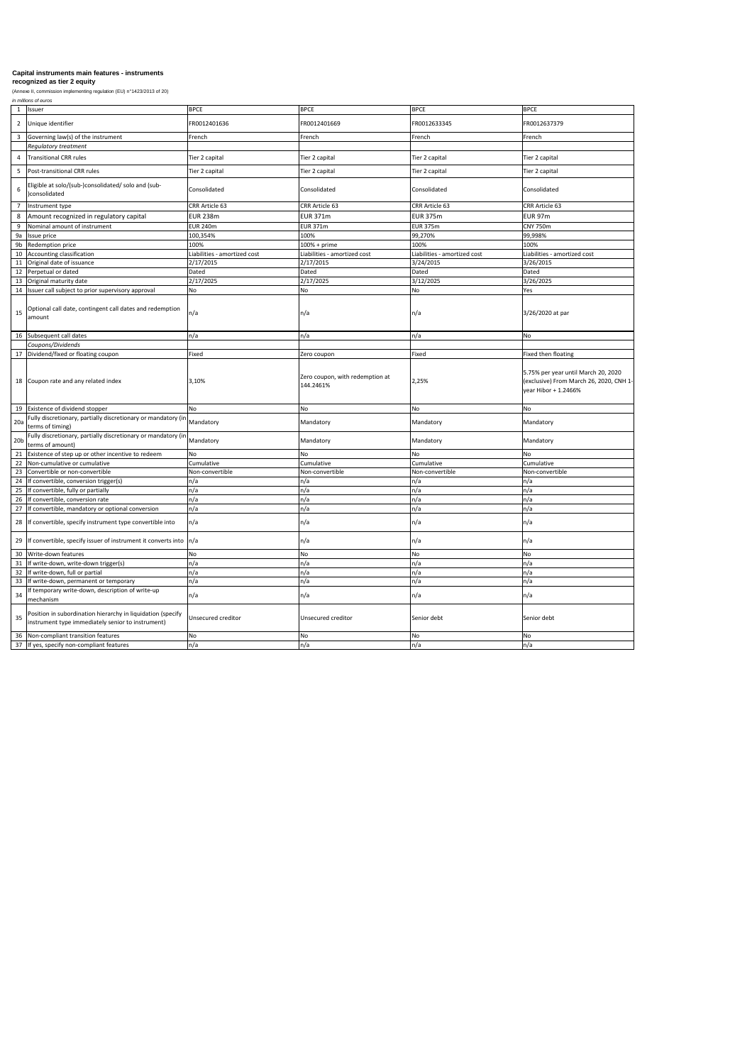*in millions of euros*

| -1              | Issuer                                                                                                           | <b>BPCE</b>                  | <b>BPCE</b>                                  | <b>BPCE</b>                  | <b>BPCE</b>                                                                                            |
|-----------------|------------------------------------------------------------------------------------------------------------------|------------------------------|----------------------------------------------|------------------------------|--------------------------------------------------------------------------------------------------------|
| $\overline{2}$  | Unique identifier                                                                                                | FR0012401636                 | FR0012401669                                 | FR0012633345                 | FR0012637379                                                                                           |
| 3               | Governing law(s) of the instrument                                                                               | French                       | French                                       | French                       | French                                                                                                 |
|                 | <b>Regulatory treatment</b>                                                                                      |                              |                                              |                              |                                                                                                        |
| 4               | Transitional CRR rules                                                                                           | Tier 2 capital               | Tier 2 capital                               | Tier 2 capital               | Tier 2 capital                                                                                         |
| 5               | Post-transitional CRR rules                                                                                      | Tier 2 capital               | Tier 2 capital                               | Tier 2 capital               | Tier 2 capital                                                                                         |
| 6               | Eligible at solo/(sub-)consolidated/ solo and (sub-<br>)consolidated                                             | Consolidated                 | Consolidated                                 | Consolidated                 | Consolidated                                                                                           |
| $\overline{7}$  | Instrument type                                                                                                  | CRR Article 63               | CRR Article 63                               | CRR Article 63               | CRR Article 63                                                                                         |
|                 | Amount recognized in regulatory capital                                                                          | <b>EUR 238m</b>              | <b>EUR 371m</b>                              | <b>EUR 375m</b>              | EUR 97m                                                                                                |
| 9               | Nominal amount of instrument                                                                                     | <b>EUR 240m</b>              | <b>EUR 371m</b>                              | <b>EUR 375m</b>              | <b>CNY 750m</b>                                                                                        |
| 9a              | Issue price                                                                                                      | 100,354%                     | 100%                                         | 99,270%                      | 99,998%                                                                                                |
| 9b              | Redemption price                                                                                                 | 100%                         | 100% + prime                                 | 100%                         | 100%                                                                                                   |
| 10              | Accounting classification                                                                                        | Liabilities - amortized cost | Liabilities - amortized cost                 | Liabilities - amortized cost | Liabilities - amortized cost                                                                           |
| 11              | Original date of issuance                                                                                        | 2/17/2015                    | 2/17/2015                                    | 3/24/2015                    | 3/26/2015                                                                                              |
| 12              | Perpetual or dated                                                                                               | Dated                        | Dated                                        | Dated                        | Dated                                                                                                  |
| 13              | Original maturity date                                                                                           | 2/17/2025                    | 2/17/2025                                    | 3/12/2025                    | 3/26/2025                                                                                              |
| 14              | Issuer call subject to prior supervisory approval                                                                | No                           | <b>No</b>                                    | <b>No</b>                    | Yes                                                                                                    |
|                 |                                                                                                                  |                              |                                              |                              |                                                                                                        |
| 15              | Optional call date, contingent call dates and redemption<br>amount                                               | n/a                          | n/a                                          | n/a                          | 3/26/2020 at par                                                                                       |
|                 | 16 Subsequent call dates                                                                                         | n/a                          | n/a                                          | n/a                          | No                                                                                                     |
|                 | Coupons/Dividends                                                                                                |                              |                                              |                              |                                                                                                        |
| 17              | Dividend/fixed or floating coupon                                                                                | Fixed                        | Zero coupon                                  | Fixed                        | Fixed then floating                                                                                    |
|                 | 18 Coupon rate and any related index                                                                             | 3,10%                        | Zero coupon, with redemption at<br>144.2461% | 2,25%                        | 5.75% per year until March 20, 2020<br>(exclusive) From March 26, 2020, CNH 1-<br>year Hibor + 1.2466% |
| 19              | Existence of dividend stopper                                                                                    | No                           | No                                           | <b>No</b>                    | No                                                                                                     |
| 20a             | Fully discretionary, partially discretionary or mandatory (in<br>terms of timing)                                | Mandatory                    | Mandatory                                    | Mandatory                    | Mandatory                                                                                              |
| 20 <sub>b</sub> | Fully discretionary, partially discretionary or mandatory (in<br>terms of amount)                                | Mandatory                    | Mandatory                                    | Mandatory                    | Mandatory                                                                                              |
| 21              | Existence of step up or other incentive to redeem                                                                | <b>No</b>                    | <b>No</b>                                    | <b>No</b>                    | No                                                                                                     |
| 22              | Non-cumulative or cumulative                                                                                     | Cumulative                   | Cumulative                                   | Cumulative                   | Cumulative                                                                                             |
| 23              | Convertible or non-convertible                                                                                   | Non-convertible              | Non-convertible                              | Non-convertible              | Non-convertible                                                                                        |
| 24              | If convertible, conversion trigger(s)                                                                            | n/a                          | n/a                                          | n/a                          | n/a                                                                                                    |
| 25              | If convertible, fully or partially                                                                               | n/a                          | n/a                                          | n/a                          | n/a                                                                                                    |
|                 | 26 If convertible, conversion rate                                                                               | n/a                          | n/a                                          | n/a                          | n/a                                                                                                    |
| 27              | If convertible, mandatory or optional conversion                                                                 | n/a                          | n/a                                          | n/a                          | n/a                                                                                                    |
|                 | 28 If convertible, specify instrument type convertible into                                                      | In/a                         | n/a                                          | n/a                          | n/a                                                                                                    |
|                 | 29 If convertible, specify issuer of instrument it converts into $\vert n/a \vert$                               |                              | n/a                                          | n/a                          | n/a                                                                                                    |
| 30              | Write-down features                                                                                              | No                           | No                                           | No                           | No                                                                                                     |
| 31              | If write-down, write-down trigger(s)                                                                             | n/a                          | n/a                                          | n/a                          | n/a                                                                                                    |
|                 | 32 If write-down, full or partial                                                                                | n/a                          | n/a                                          | n/a                          | n/a                                                                                                    |
| 33              | If write-down, permanent or temporary                                                                            | n/a                          | n/a                                          | n/a                          | n/a                                                                                                    |
| 34              | If temporary write-down, description of write-up<br>mechanism                                                    | In/a                         | n/a                                          | n/a                          | n/a                                                                                                    |
| 35              | Position in subordination hierarchy in liquidation (specify<br>instrument type immediately senior to instrument) | Unsecured creditor           | Unsecured creditor                           | Senior debt                  | Senior debt                                                                                            |
| 36              | Non-compliant transition features                                                                                | No                           | <b>No</b>                                    | <b>No</b>                    | No                                                                                                     |
|                 | 37 If yes, specify non-compliant features                                                                        | n/a                          | n/a                                          | n/a                          | n/a                                                                                                    |

# **Capital instruments main features - instruments**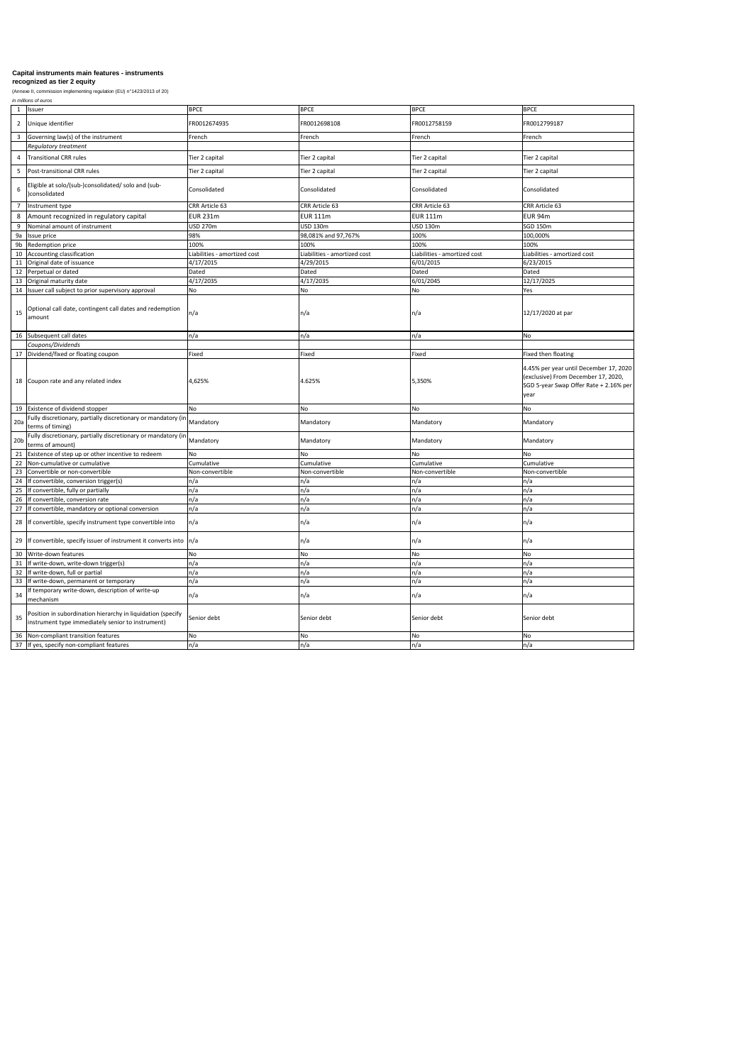*in millions of euros*

| $\mathbf{1}$    | Issuer                                                                                                           | <b>BPCE</b>                  | <b>BPCE</b>                  | <b>BPCE</b>                  | <b>BPCE</b>                                                                                                                     |
|-----------------|------------------------------------------------------------------------------------------------------------------|------------------------------|------------------------------|------------------------------|---------------------------------------------------------------------------------------------------------------------------------|
| $\overline{2}$  | Unique identifier                                                                                                | FR0012674935                 | FR0012698108                 | FR0012758159                 | FR0012799187                                                                                                                    |
| 3               | Governing law(s) of the instrument                                                                               | French                       | French                       | French                       | French                                                                                                                          |
|                 | <b>Regulatory treatment</b>                                                                                      |                              |                              |                              |                                                                                                                                 |
|                 | Transitional CRR rules                                                                                           | Tier 2 capital               | Tier 2 capital               | Tier 2 capital               | Tier 2 capital                                                                                                                  |
|                 | Post-transitional CRR rules                                                                                      | Tier 2 capital               | Tier 2 capital               | Tier 2 capital               | Tier 2 capital                                                                                                                  |
| 6               | -ligible at solo/(sub-)consolidated/ solo and (sub-<br>)consolidated                                             | Consolidated                 | Consolidated                 | Consolidated                 | Consolidated                                                                                                                    |
|                 | Instrument type                                                                                                  | CRR Article 63               | CRR Article 63               | CRR Article 63               | CRR Article 63                                                                                                                  |
| 8               | Amount recognized in regulatory capital                                                                          | <b>EUR 231m</b>              | <b>EUR 111m</b>              | <b>EUR 111m</b>              | EUR 94m                                                                                                                         |
| 9               | Nominal amount of instrument                                                                                     | <b>USD 270m</b>              | <b>USD 130m</b>              | <b>USD 130m</b>              | SGD 150m                                                                                                                        |
| 9a              | Issue price                                                                                                      | 98%                          | 98,081% and 97,767%          | 100%                         | 100,000%                                                                                                                        |
| 9b              | Redemption price                                                                                                 | 100%                         | 100%                         | 100%                         | 100%                                                                                                                            |
| 10              | Accounting classification                                                                                        | Liabilities - amortized cost | Liabilities - amortized cost | Liabilities - amortized cost | Liabilities - amortized cost                                                                                                    |
| 11              | Original date of issuance                                                                                        | 4/17/2015                    | 4/29/2015                    | 6/01/2015                    | 6/23/2015                                                                                                                       |
| 12              | Perpetual or dated                                                                                               | Dated                        | Dated                        | Dated                        | Dated                                                                                                                           |
| 13              | Original maturity date                                                                                           | 4/17/2035                    | 4/17/2035                    | 6/01/2045                    | 12/17/2025                                                                                                                      |
| 14              | Issuer call subject to prior supervisory approval                                                                | No                           | <b>No</b>                    | <b>No</b>                    | Yes                                                                                                                             |
| 15              | Optional call date, contingent call dates and redemption<br>amount                                               | n/a                          | n/a                          | n/a                          | 12/17/2020 at par                                                                                                               |
| 16              | Subsequent call dates                                                                                            | n/a                          | n/a                          | n/a                          | No                                                                                                                              |
|                 | Coupons/Dividends                                                                                                |                              |                              |                              |                                                                                                                                 |
| 17              | Dividend/fixed or floating coupon                                                                                | Fixed                        | Fixed                        | Fixed                        | Fixed then floating                                                                                                             |
| 18              | Coupon rate and any related index                                                                                | 4,625%                       | 4.625%                       | 5,350%                       | 4.45% per year until December 17, 2020<br>(exclusive) From December 17, 2020,<br>SGD 5-year Swap Offer Rate + 2.16% per<br>year |
| 19              | Existence of dividend stopper                                                                                    | No.                          | <b>No</b>                    | <b>No</b>                    | No                                                                                                                              |
| 20a             | Fully discretionary, partially discretionary or mandatory (in Mandatory<br>terms of timing)                      |                              | Mandatory                    | Mandatory                    | Mandatory                                                                                                                       |
| 20 <sub>b</sub> | Fully discretionary, partially discretionary or mandatory (in Mandatory<br>terms of amount)                      |                              | Mandatory                    | Mandatory                    | Mandatory                                                                                                                       |
|                 | Existence of step up or other incentive to redeem                                                                | <b>No</b>                    | No                           | <b>No</b>                    | <b>No</b>                                                                                                                       |
| 22              | Non-cumulative or cumulative                                                                                     | Cumulative                   | Cumulative                   | Cumulative                   | Cumulative                                                                                                                      |
| 23              | Convertible or non-convertible                                                                                   | Non-convertible              | Non-convertible              | Non-convertible              | Non-convertible                                                                                                                 |
| 24              | If convertible, conversion trigger(s)                                                                            | n/a                          | n/a                          | n/a                          | n/a                                                                                                                             |
| 25              | If convertible, fully or partially                                                                               | n/a                          | n/a                          | n/a                          | n/a                                                                                                                             |
| 26              | If convertible, conversion rate                                                                                  | n/a                          | n/a                          | n/a                          | n/a                                                                                                                             |
| 27              | If convertible, mandatory or optional conversion                                                                 | n/a                          | n/a                          | n/a                          | n/a                                                                                                                             |
|                 | 28 If convertible, specify instrument type convertible into                                                      | n/a                          | n/a                          | n/a                          | n/a                                                                                                                             |
| 29              | If convertible, specify issuer of instrument it converts into $\vert n/a \vert$                                  |                              | n/a                          | n/a                          | n/a                                                                                                                             |
| 30              | Write-down features                                                                                              | <b>No</b>                    | <b>No</b>                    | <b>No</b>                    | No                                                                                                                              |
| 31              | If write-down, write-down trigger(s)                                                                             | n/a                          | n/a                          | n/a                          | n/a                                                                                                                             |
| 32              | If write-down, full or partial                                                                                   | n/a                          | n/a                          | n/a                          | n/a                                                                                                                             |
| 33              | If write-down, permanent or temporary                                                                            | n/a                          | n/a                          | n/a                          | n/a                                                                                                                             |
| 34              | f temporary write-down, description of write-up<br>mechanism                                                     | $\mathsf{In}/\mathsf{a}$     | n/a                          | n/a                          | n/a                                                                                                                             |
| 35              | Position in subordination hierarchy in liquidation (specify<br>instrument type immediately senior to instrument) | Senior debt                  | Senior debt                  | Senior debt                  | Senior debt                                                                                                                     |
| 36              | Non-compliant transition features                                                                                | <b>No</b>                    | <b>No</b>                    | <b>No</b>                    | <b>No</b>                                                                                                                       |
| 37              | If yes, specify non-compliant features                                                                           | n/a                          | n/a                          | n/a                          | n/a                                                                                                                             |

# **Capital instruments main features - instruments**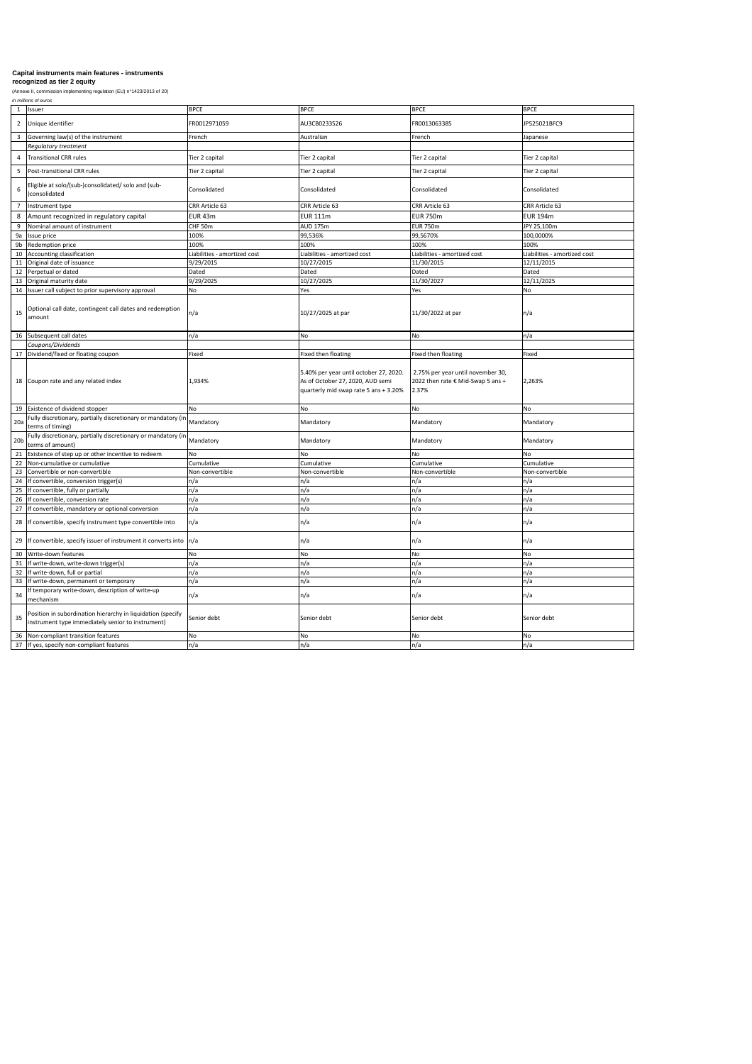*in millions of euros*

| $\mathbf{1}$    | Issuer                                                                                                           | <b>BPCE</b>                  | <b>BPCE</b>                                                                                                                                             | <b>BPCE</b>                                | <b>BPCE</b>                  |
|-----------------|------------------------------------------------------------------------------------------------------------------|------------------------------|---------------------------------------------------------------------------------------------------------------------------------------------------------|--------------------------------------------|------------------------------|
| $\overline{2}$  | Unique identifier                                                                                                | FR0012971059                 | AU3CB0233526                                                                                                                                            | FR0013063385                               | JP525021BFC9                 |
| 3               | Governing law(s) of the instrument                                                                               | French                       | Australian                                                                                                                                              | French                                     | Japanese                     |
|                 | <b>Regulatory treatment</b>                                                                                      |                              |                                                                                                                                                         |                                            |                              |
| 4               | <b>Transitional CRR rules</b>                                                                                    | Tier 2 capital               | Tier 2 capital                                                                                                                                          | Tier 2 capital                             | Tier 2 capital               |
| 5               | Post-transitional CRR rules                                                                                      | Tier 2 capital               | Tier 2 capital                                                                                                                                          | Tier 2 capital                             | Tier 2 capital               |
| 6               | Eligible at solo/(sub-)consolidated/ solo and (sub-<br>consolidated                                              | Consolidated                 | Consolidated                                                                                                                                            | Consolidated                               | Consolidated                 |
| 7               | Instrument type                                                                                                  | CRR Article 63               | CRR Article 63                                                                                                                                          | CRR Article 63                             | <b>CRR Article 63</b>        |
| 8               | Amount recognized in regulatory capital                                                                          | EUR 43m                      | <b>EUR 111m</b>                                                                                                                                         | <b>EUR 750m</b>                            | <b>EUR 194m</b>              |
| 9               | Nominal amount of instrument                                                                                     | CHF 50m                      | <b>AUD 175m</b>                                                                                                                                         | <b>EUR 750m</b>                            | JPY 25,100m                  |
| 9a              | Issue price                                                                                                      | 100%                         | 99,536%                                                                                                                                                 | 99,5670%                                   | 100,0000%                    |
| 9b              | Redemption price                                                                                                 | 100%                         | 100%                                                                                                                                                    | 100%                                       | 100%                         |
| 10              | Accounting classification                                                                                        | Liabilities - amortized cost | Liabilities - amortized cost                                                                                                                            | Liabilities - amortized cost               | Liabilities - amortized cost |
| 11              | Original date of issuance                                                                                        | 9/29/2015                    | 10/27/2015                                                                                                                                              | 11/30/2015                                 | 12/11/2015                   |
| 12              | Perpetual or dated                                                                                               | Dated                        | Dated                                                                                                                                                   | Dated                                      | Dated                        |
| 13              | Original maturity date                                                                                           | 9/29/2025                    | 10/27/2025                                                                                                                                              | 11/30/2027                                 | 12/11/2025                   |
| 14              | Issuer call subject to prior supervisory approval                                                                | No                           | Yes                                                                                                                                                     | Yes                                        | No                           |
| 15              | Optional call date, contingent call dates and redemption<br>amount                                               | $\ln/a$                      | 10/27/2025 at par                                                                                                                                       | 11/30/2022 at par                          | n/a                          |
| 16              | Subsequent call dates                                                                                            | n/a                          | <b>No</b>                                                                                                                                               | <b>No</b>                                  | n/a                          |
|                 | Coupons/Dividends                                                                                                |                              |                                                                                                                                                         |                                            |                              |
| 17              | Dividend/fixed or floating coupon                                                                                | Fixed                        | Fixed then floating                                                                                                                                     | Fixed then floating                        | Fixed                        |
| 18              | Coupon rate and any related index                                                                                | 1,934%                       | 5.40% per year until october 27, 2020.   2.75% per year until november 30,<br>As of October 27, 2020, AUD semi<br>quarterly mid swap rate 5 ans + 3.20% | 2022 then rate € Mid-Swap 5 ans +<br>2.37% | 2,263%                       |
| 19              | Existence of dividend stopper                                                                                    | No.                          | No                                                                                                                                                      | <b>No</b>                                  | No                           |
| 20a             | Fully discretionary, partially discretionary or mandatory (in Mandatory<br>terms of timing)                      |                              | Mandatory                                                                                                                                               | Mandatory                                  | Mandatory                    |
| 20 <sub>b</sub> | Fully discretionary, partially discretionary or mandatory (in Mandatory<br>terms of amount)                      |                              | Mandatory                                                                                                                                               | Mandatory                                  | Mandatory                    |
|                 | Existence of step up or other incentive to redeem                                                                | <b>No</b>                    | No                                                                                                                                                      | <b>No</b>                                  | <b>No</b>                    |
| 22              | Non-cumulative or cumulative                                                                                     | Cumulative                   | Cumulative                                                                                                                                              | Cumulative                                 | Cumulative                   |
| 23              | Convertible or non-convertible                                                                                   | Non-convertible              | Non-convertible                                                                                                                                         | Non-convertible                            | Non-convertible              |
| 24              | If convertible, conversion trigger(s)                                                                            | n/a                          | n/a                                                                                                                                                     | n/a                                        | n/a                          |
| 25              | If convertible, fully or partially                                                                               | n/a                          | n/a                                                                                                                                                     | n/a                                        | n/a                          |
| 26              | If convertible, conversion rate                                                                                  | n/a                          | n/a                                                                                                                                                     | n/a                                        | n/a                          |
| 27              | If convertible, mandatory or optional conversion                                                                 | n/a                          | n/a                                                                                                                                                     | n/a                                        | n/a                          |
|                 | 28 If convertible, specify instrument type convertible into                                                      | n/a                          | n/a                                                                                                                                                     | n/a                                        | n/a                          |
| 29              | If convertible, specify issuer of instrument it converts into $\vert n/a \vert$                                  |                              | n/a                                                                                                                                                     | n/a                                        | n/a                          |
| 30              | Write-down features                                                                                              | <b>No</b>                    | No                                                                                                                                                      | <b>No</b>                                  | <b>No</b>                    |
| 31              | If write-down, write-down trigger(s)                                                                             | n/a                          | n/a                                                                                                                                                     | n/a                                        | n/a                          |
| 32              | If write-down, full or partial                                                                                   | n/a                          | n/a                                                                                                                                                     | n/a                                        | n/a                          |
| 33              | If write-down, permanent or temporary                                                                            | n/a                          | n/a                                                                                                                                                     | n/a                                        | n/a                          |
| 34              | f temporary write-down, description of write-up<br>mechanism                                                     | n/a                          | $\mathsf{In}/\mathsf{a}$                                                                                                                                | n/a                                        | n/a                          |
| 35              | Position in subordination hierarchy in liquidation (specify<br>instrument type immediately senior to instrument) | Senior debt                  | Senior debt                                                                                                                                             | Senior debt                                | Senior debt                  |
| 36              | Non-compliant transition features                                                                                | <b>No</b>                    | No                                                                                                                                                      | <b>No</b>                                  | <b>No</b>                    |
| 37              | If yes, specify non-compliant features                                                                           | n/a                          | n/a                                                                                                                                                     | n/a                                        | n/a                          |

# **Capital instruments main features - instruments**